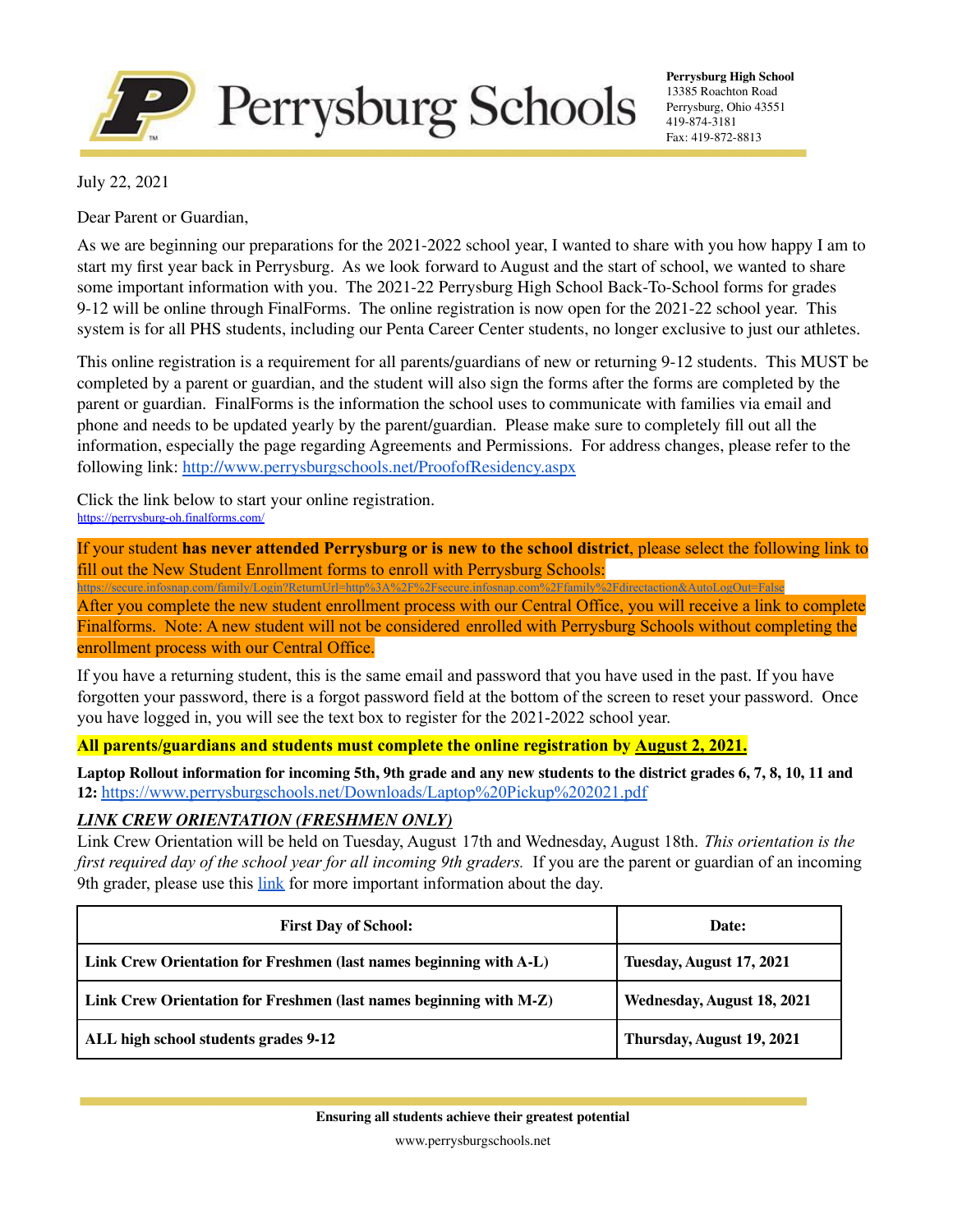

**Perrysburg High School** 13385 Roachton Road Perrysburg, Ohio 43551 419-874-3181 Fax: 419-872-8813

July 22, 2021

Dear Parent or Guardian,

As we are beginning our preparations for the 2021-2022 school year, I wanted to share with you how happy I am to start my first year back in Perrysburg. As we look forward to August and the start of school, we wanted to share some important information with you. The 2021-22 Perrysburg High School Back-To-School forms for grades 9-12 will be online through FinalForms. The online registration is now open for the 2021-22 school year. This system is for all PHS students, including our Penta Career Center students, no longer exclusive to just our athletes.

This online registration is a requirement for all parents/guardians of new or returning 9-12 students. This MUST be completed by a parent or guardian, and the student will also sign the forms after the forms are completed by the parent or guardian. FinalForms is the information the school uses to communicate with families via email and phone and needs to be updated yearly by the parent/guardian. Please make sure to completely fill out all the information, especially the page regarding Agreements and Permissions. For address changes, please refer to the following link: <http://www.perrysburgschools.net/ProofofResidency.aspx>

Click the link below to start your online registration. <https://perrysburg-oh.finalforms.com/>

If your student **has never attended Perrysburg or is new to the school district**, please select the following link to fill out the New Student Enrollment forms to enroll with Perrysburg Schools:

<https://secure.infosnap.com/family/Login?ReturnUrl=http%3A%2F%2Fsecure.infosnap.com%2Ffamily%2Fdirectaction&AutoLogOut=False> After you complete the new student enrollment process with our Central Office, you will receive a link to complete Finalforms. Note: A new student will not be considered enrolled with Perrysburg Schools without completing the enrollment process with our Central Office.

If you have a returning student, this is the same email and password that you have used in the past. If you have forgotten your password, there is a forgot password field at the bottom of the screen to reset your password. Once you have logged in, you will see the text box to register for the 2021-2022 school year.

**All parents/guardians and students must complete the online registration by August 2, 2021.**

Laptop Rollout information for incoming 5th, 9th grade and any new students to the district grades 6, 7, 8, 10, 11 and **12:** <https://www.perrysburgschools.net/Downloads/Laptop%20Pickup%202021.pdf>

### *LINK CREW ORIENTATION (FRESHMEN ONLY)*

Link Crew Orientation will be held on Tuesday, August 17th and Wednesday, August 18th. *This orientation is the first required day of the school year for all incoming 9th graders.* If you are the parent or guardian of an incoming 9th grader, please use this [link](https://docs.google.com/document/d/1purmralzLTvVBDwIE0le_I-5fLznQo3TqL45yBin6QU/edit?usp=sharing) for more important information about the day.

| <b>First Day of School:</b>                                        | Date:                      |
|--------------------------------------------------------------------|----------------------------|
| Link Crew Orientation for Freshmen (last names beginning with A-L) | Tuesday, August 17, 2021   |
| Link Crew Orientation for Freshmen (last names beginning with M-Z) | Wednesday, August 18, 2021 |
| ALL high school students grades 9-12                               | Thursday, August 19, 2021  |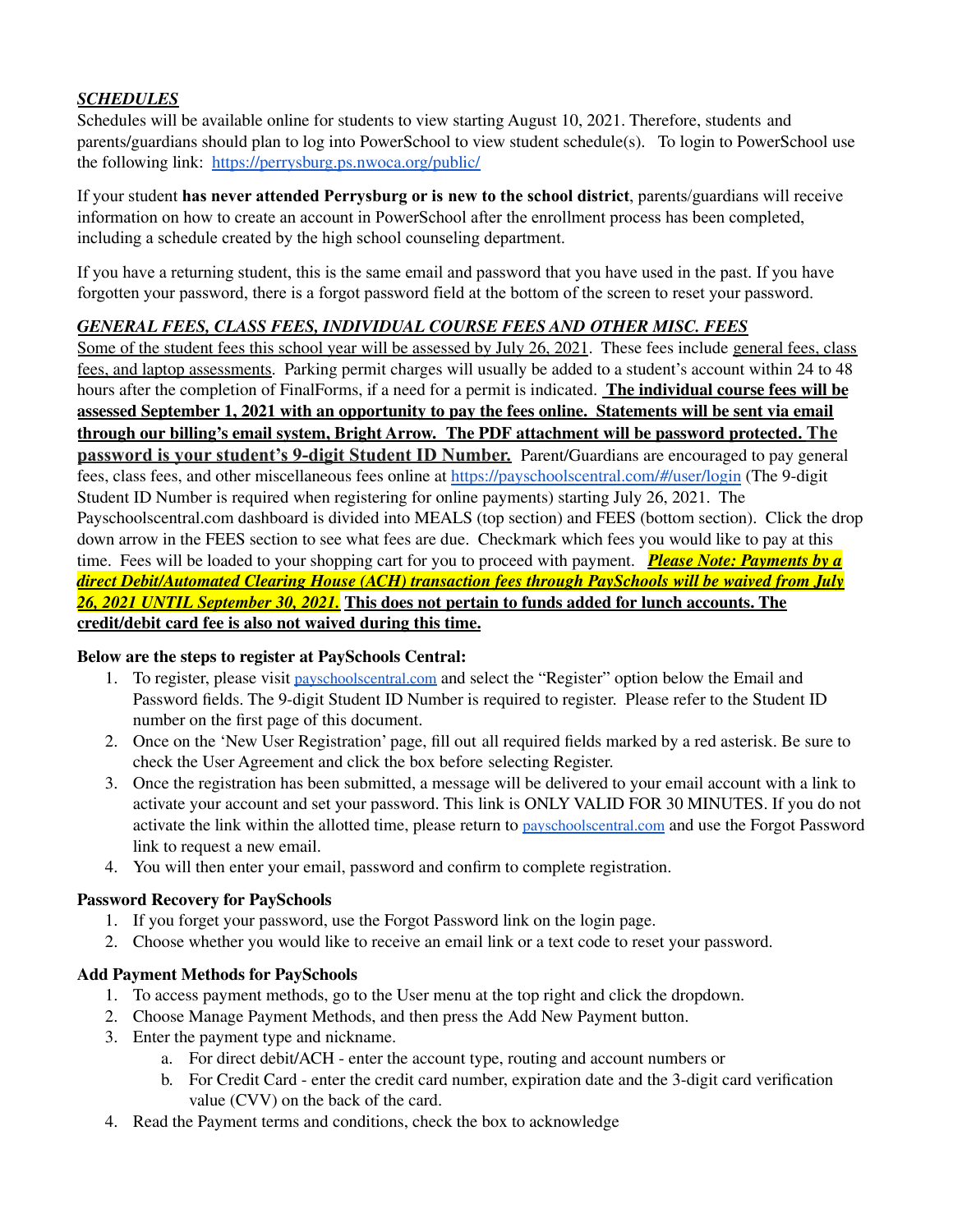# *SCHEDULES*

Schedules will be available online for students to view starting August 10, 2021. Therefore, students and parents/guardians should plan to log into PowerSchool to view student schedule(s). To login to PowerSchool use the following link: <https://perrysburg.ps.nwoca.org/public/>

If your student **has never attended Perrysburg or is new to the school district**, parents/guardians will receive information on how to create an account in PowerSchool after the enrollment process has been completed, including a schedule created by the high school counseling department.

If you have a returning student, this is the same email and password that you have used in the past. If you have forgotten your password, there is a forgot password field at the bottom of the screen to reset your password.

# *GENERAL FEES, CLASS FEES, INDIVIDUAL COURSE FEES AND OTHER MISC. FEES*

Some of the student fees this school year will be assessed by July 26, 2021. These fees include general fees, class fees, and laptop assessments. Parking permit charges will usually be added to a student's account within 24 to 48 hours after the completion of FinalForms, if a need for a permit is indicated. **The individual course fees will be** assessed September 1, 2021 with an opportunity to pay the fees online. Statements will be sent via email **through our billing's email system, Bright Arrow. The PDF attachment will be password protected. The password is your student's 9-digit Student ID Number.** Parent/Guardians are encouraged to pay general fees, class fees, and other miscellaneous fees online at <https://payschoolscentral.com/#/user/login> (The 9-digit Student ID Number is required when registering for online payments) starting July 26, 2021. The Payschoolscentral.com dashboard is divided into MEALS (top section) and FEES (bottom section). Click the drop down arrow in the FEES section to see what fees are due. Checkmark which fees you would like to pay at this time. Fees will be loaded to your shopping cart for you to proceed with payment. *Please Note: Payments by a direct Debit/Automated Clearing House (ACH) transaction fees through PaySchools will be waived from July 26, 2021 UNTIL September 30, 2021.* **This does not pertain to funds added for lunch accounts. The credit/debit card fee is also not waived during this time.**

### **Below are the steps to register at PaySchools Central:**

- 1. To register, please visit [payschoolscentral.com](https://payschoolscentral.com/#/user/login) and select the "Register" option below the Email and Password fields. The 9-digit Student ID Number is required to register. Please refer to the Student ID number on the first page of this document.
- 2. Once on the 'New User Registration' page, fill out all required fields marked by a red asterisk. Be sure to check the User Agreement and click the box before selecting Register.
- 3. Once the registration has been submitted, a message will be delivered to your email account with a link to activate your account and set your password. This link is ONLY VALID FOR 30 MINUTES. If you do not activate the link within the allotted time, please return to [payschoolscentral.com](http://payschoolscentral.com) and use the Forgot Password link to request a new email.
- 4. You will then enter your email, password and confirm to complete registration.

### **Password Recovery for PaySchools**

- 1. If you forget your password, use the Forgot Password link on the login page.
- 2. Choose whether you would like to receive an email link or a text code to reset your password.

# **Add Payment Methods for PaySchools**

- 1. To access payment methods, go to the User menu at the top right and click the dropdown.
- 2. Choose Manage Payment Methods, and then press the Add New Payment button.
- 3. Enter the payment type and nickname.
	- a. For direct debit/ACH enter the account type, routing and account numbers or
	- b. For Credit Card enter the credit card number, expiration date and the 3-digit card verification value (CVV) on the back of the card.
- 4. Read the Payment terms and conditions, check the box to acknowledge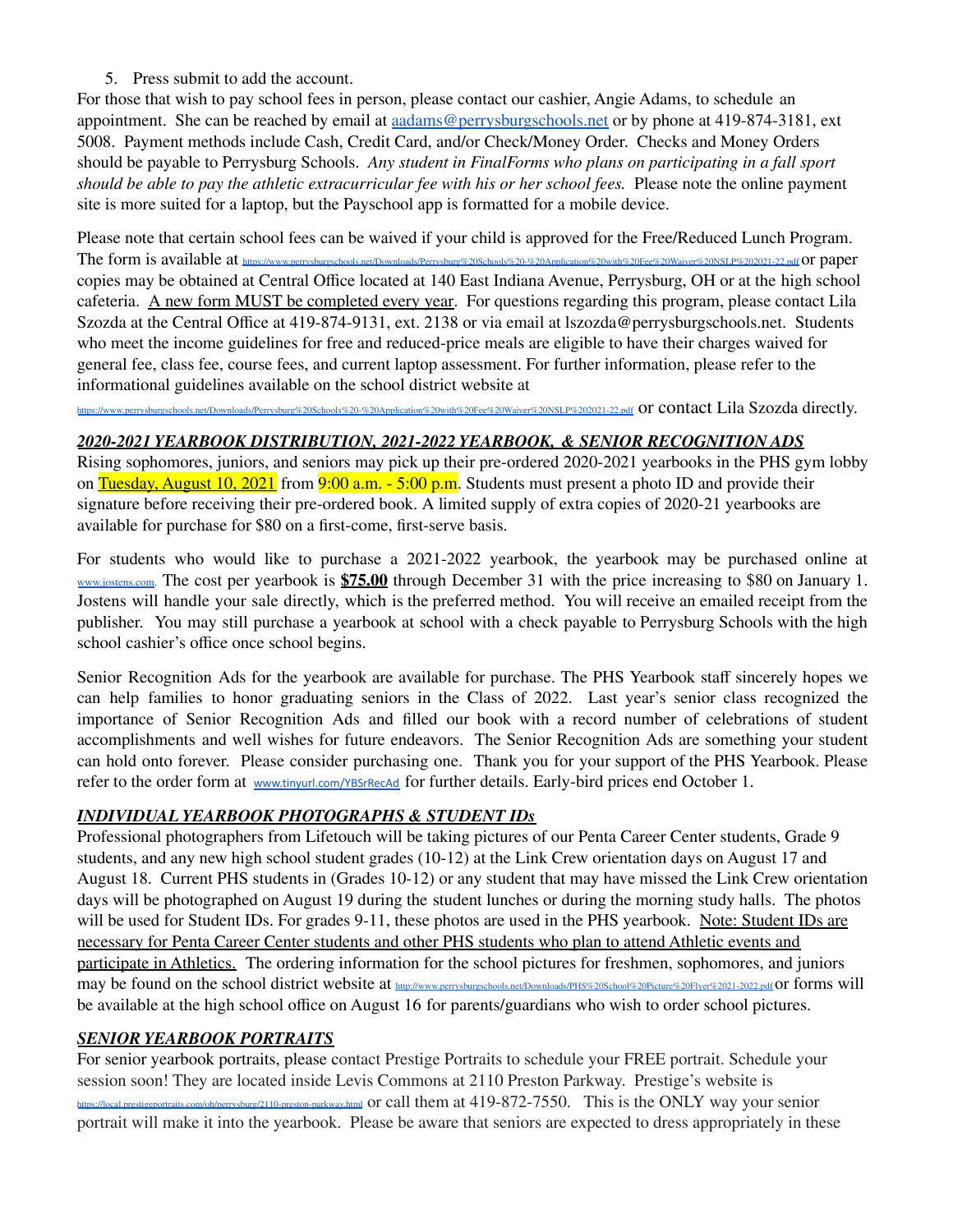### 5. Press submit to add the account.

For those that wish to pay school fees in person, please contact our cashier, Angie Adams, to schedule an appointment. She can be reached by email at [aadams@perrysburgschools.net](mailto:aadams@perrysburgschools.net) or by phone at 419-874-3181, ext 5008. Payment methods include Cash, Credit Card, and/or Check/Money Order. Checks and Money Orders should be payable to Perrysburg Schools. *Any student in FinalForms who plans on participating in a fall sport should be able to pay the athletic extracurricular fee with his or her school fees.* Please note the online payment site is more suited for a laptop, but the Payschool app is formatted for a mobile device.

Please note that certain school fees can be waived if your child is approved for the Free/Reduced Lunch Program. The form is available a[t](http://www.perrysburgschools.net/Downloads/Free%20or%20Reduced%20Meal%20application%202018-19.pdf) <https://www.perrysburgschools.net/Downloads/Perrysburg%20Schools%20-%20Application%20with%20Fee%20Waiver%20NSLP%202021-22.pdf>or paper copies may be obtained at Central Office located at 140 East Indiana Avenue, Perrysburg, OH or at the high school cafeteria. A new form MUST be completed every year. For questions regarding this program, please contact Lila Szozda at the Central Office at 419-874-9131, ext. 2138 or via email at lszozda@perrysburgschools.net. Students who meet the income guidelines for free and reduced-price meals are eligible to have their charges waived for general fee, class fee, course fees, and current laptop assessment. For further information, please refer to the informational guidelines available on the school district website at

<https://www.perrysburgschools.net/Downloads/Perrysburg%20Schools%20-%20Application%20with%20Fee%20Waiver%20NSLP%202021-22.pdf> or contact Lila Szozda directly.

### *2020-2021 YEARBOOK DISTRIBUTION, 2021-2022 YEARBOOK, & SENIOR RECOGNITION ADS*

Rising sophomores, juniors, and seniors may pick up their pre-ordered 2020-2021 yearbooks in the PHS gym lobby on Tuesday, August 10, 2021 from 9:00 a.m. - 5:00 p.m. Students must present a photo ID and provide their signature before receiving their pre-ordered book. A limited supply of extra copies of 2020-21 yearbooks are available for purchase for \$80 on a first-come, first-serve basis.

For students who would like to purchase a 2021-2022 yearbook, the yearbook may be purchased online at [www.jostens.com](http://www.jostens.com). The cost per yearbook is **\$75.00** through December 31 with the price increasing to \$80 on January 1. Jostens will handle your sale directly, which is the preferred method. You will receive an emailed receipt from the publisher. You may still purchase a yearbook at school with a check payable to Perrysburg Schools with the high school cashier's office once school begins.

Senior Recognition Ads for the yearbook are available for purchase. The PHS Yearbook staff sincerely hopes we can help families to honor graduating seniors in the Class of 2022. Last year's senior class recognized the importance of Senior Recognition Ads and filled our book with a record number of celebrations of student accomplishments and well wishes for future endeavors. The Senior Recognition Ads are something your student can hold onto forever. Please consider purchasing one. Thank you for your support of the PHS Yearbook. Please refer [t](http://www.perrysburgschools.net/Downloads/Senior%20Ad%20Letter%202018-2019.pdf)o the order form at [www.tinyurl.com/YBSrRecAd](http://www.tinyurl.com/YBSrRecAd) for further details. Early-bird prices end October 1.

# *INDIVIDUAL YEARBOOK PHOTOGRAPHS & STUDENT IDs*

Professional photographers from Lifetouch will be taking pictures of our Penta Career Center students, Grade 9 students, and any new high school student grades (10-12) at the Link Crew orientation days on August 17 and August 18. Current PHS students in (Grades 10-12) or any student that may have missed the Link Crew orientation days will be photographed on August 19 during the student lunches or during the morning study halls. The photos will be used for Student IDs. For grades 9-11, these photos are used in the PHS yearbook. Note: Student IDs are necessary for Penta Career Center students and other PHS students who plan to attend Athletic events and participate in Athletics. The ordering inform[at](http://www.perrysburgschools.net/Downloads/PHS%20Picture%20Day%20Information%202018-19.pdf)ion for the school pictures for freshmen, sophomores, and juniors may be found on the school district website at [http://www.perrysburgschools.net/Downloads/PHS%20School%20Picture%20Flyer%2021-2022.pdf](https://www.perrysburgschools.net/Downloads/PHS%20Fall%2021%20Picture%20Day%20Flyer.pdf) Or forms will be available at the high school office on August 16 for parents/guardians who wish to order school pictures.

# *SENIOR YEARBOOK PORTRAITS*

For senior yearbook portraits, please contact Prestige Portraits to schedule your FREE portrait. Schedule your session soon! They are located inside Levis Commons at 2110 Preston Parkway. Prestige's website is <https://local.prestigeportraits.com/oh/perrysburg/2110-preston-parkway.html> or call them at 419-872-7550. This is the ONLY way your senior portrait will make it into the yearbook. Please be aware that seniors are expected to dress appropriately in these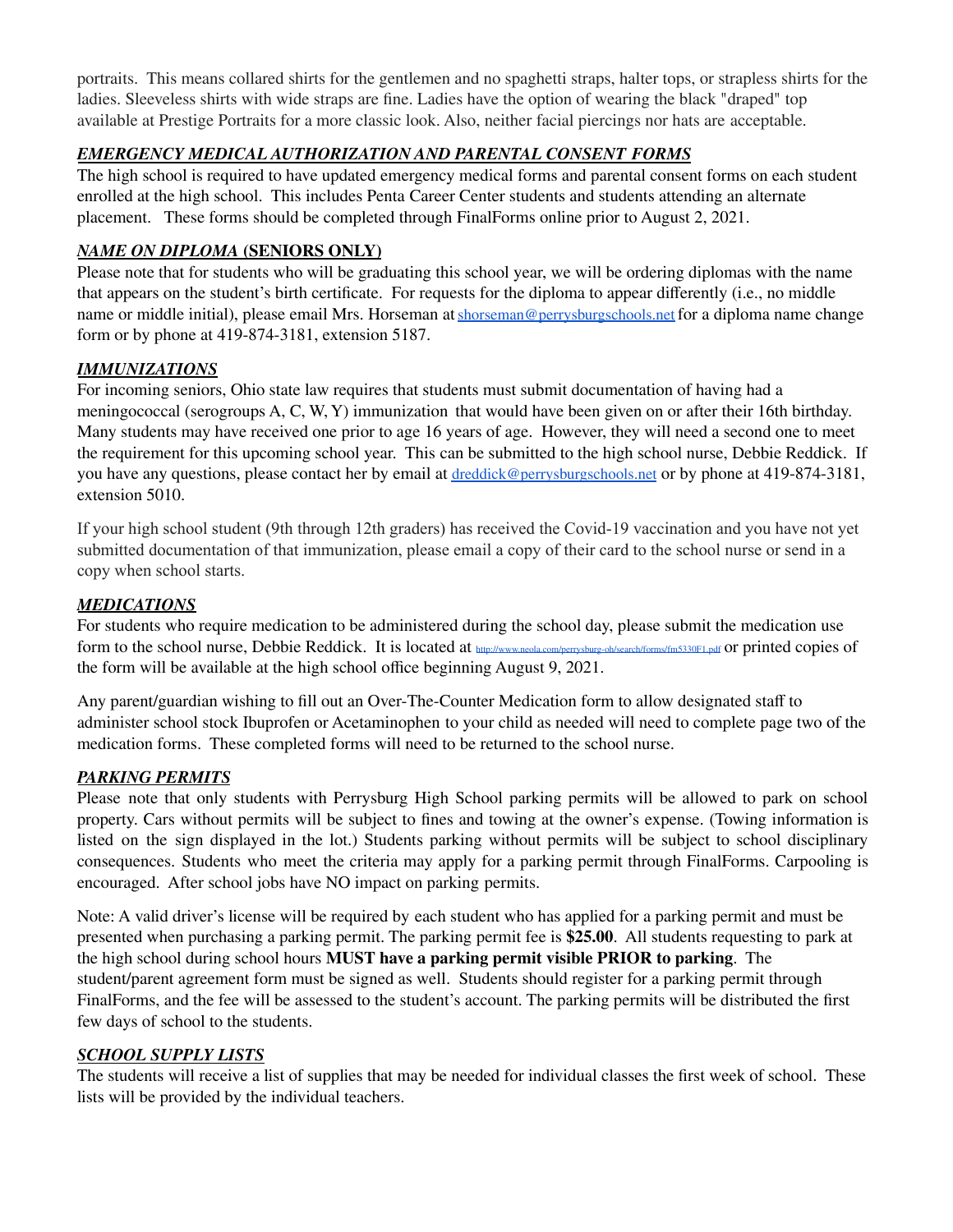portraits. This means collared shirts for the gentlemen and no spaghetti straps, halter tops, or strapless shirts for the ladies. Sleeveless shirts with wide straps are fine. Ladies have the option of wearing the black "draped" top available at Prestige Portraits for a more classic look. Also, neither facial piercings nor hats are acceptable.

### *EMERGENCY MEDICAL AUTHORIZATION AND PARENTAL CONSENT FORMS*

The high school is required to have updated emergency medical forms and parental consent forms on each student enrolled at the high school. This includes Penta Career Center students and students attending an alternate placement. These forms should be completed through FinalForms online prior to August 2, 2021.

#### *NAME ON DIPLOMA* **(SENIORS ONLY)**

Please note that for students who will be graduating this school year, we will be ordering diplomas with the name that appears on the student's birth certificate. For requests for the diploma to appear differently (i.e., no middle name or middle initial), please email Mrs. Horseman at [shorseman@perrysburgschools.net](mailto:shorseman@perrysburgschools.net) for a diploma name change form or by phone at 419-874-3181, extension 5187.

### *IMMUNIZATIONS*

For incoming seniors, Ohio state law requires that students must submit documentation of having had a meningococcal (serogroups A, C, W, Y) immunization that would have been given on or after their 16th birthday. Many students may have received one prior to age 16 years of age. However, they will need a second one to meet the requirement for this upcoming school year. This can be submitted to the high school nurse, Debbie Reddick. If you have any questions, please contact her by email at [dreddick@perrysburgschools.net](mailto:dreddick@perrysburgschools.net) or by phone at 419-874-3181, extension 5010.

If your high school student (9th through 12th graders) has received the Covid-19 vaccination and you have not yet submitted documentation of that immunization, please email a copy of their card to the school nurse or send in a copy when school starts.

#### *MEDICATIONS*

For students who require medication to be administered during the school day, please submit the medication use form to the school nurse, Debbie Reddick. It is located at <http://www.neola.com/perrysburg-oh/search/forms/fm5330F1.pdf> or printed copies of the form will be available at the high school office beginning August 9, 2021.

Any parent/guardian wishing to fill out an Over-The-Counter Medication form to allow designated staff to administer school stock Ibuprofen or Acetaminophen to your child as needed will need to complete page two of the medication forms. These completed forms will need to be returned to the school nurse.

### *PARKING PERMITS*

Please note that only students with Perrysburg High School parking permits will be allowed to park on school property. Cars without permits will be subject to fines and towing at the owner's expense. (Towing information is listed on the sign displayed in the lot.) Students parking without permits will be subject to school disciplinary consequences. Students who meet the criteria may apply for a parking permit through FinalForms. Carpooling is encouraged. After school jobs have NO impact on parking permits.

Note: A valid driver's license will be required by each student who has applied for a parking permit and must be presented when purchasing a parking permit. The parking permit fee is **\$25.00**. All students requesting to park at the high school during school hours **MUST have a parking permit visible PRIOR to parking**. The student/parent agreement form must be signed as well. Students should register for a parking permit through FinalForms, and the fee will be assessed to the student's account. The parking permits will be distributed the first few days of school to the students.

#### *SCHOOL SUPPLY LISTS*

The students will receive a list of supplies that may be needed for individual classes the first week of school. These lists will be provided by the individual teachers.